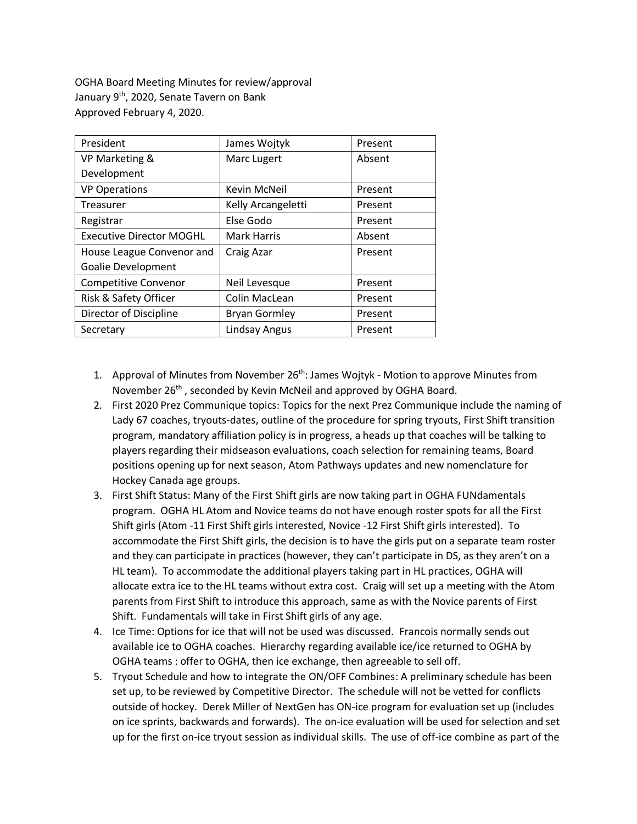OGHA Board Meeting Minutes for review/approval January 9<sup>th</sup>, 2020, Senate Tavern on Bank Approved February 4, 2020.

| President                       | James Wojtyk         | Present |
|---------------------------------|----------------------|---------|
| VP Marketing &                  | Marc Lugert          | Absent  |
| Development                     |                      |         |
| <b>VP Operations</b>            | <b>Kevin McNeil</b>  | Present |
| <b>Treasurer</b>                | Kelly Arcangeletti   | Present |
| Registrar                       | Else Godo            | Present |
| <b>Executive Director MOGHL</b> | <b>Mark Harris</b>   | Absent  |
| House League Convenor and       | Craig Azar           | Present |
| <b>Goalie Development</b>       |                      |         |
| <b>Competitive Convenor</b>     | Neil Levesque        | Present |
| Risk & Safety Officer           | Colin MacLean        | Present |
| Director of Discipline          | <b>Bryan Gormley</b> | Present |
| Secretary                       | Lindsay Angus        | Present |

- 1. Approval of Minutes from November 26<sup>th</sup>: James Wojtyk Motion to approve Minutes from November 26<sup>th</sup>, seconded by Kevin McNeil and approved by OGHA Board.
- 2. First 2020 Prez Communique topics: Topics for the next Prez Communique include the naming of Lady 67 coaches, tryouts-dates, outline of the procedure for spring tryouts, First Shift transition program, mandatory affiliation policy is in progress, a heads up that coaches will be talking to players regarding their midseason evaluations, coach selection for remaining teams, Board positions opening up for next season, Atom Pathways updates and new nomenclature for Hockey Canada age groups.
- 3. First Shift Status: Many of the First Shift girls are now taking part in OGHA FUNdamentals program. OGHA HL Atom and Novice teams do not have enough roster spots for all the First Shift girls (Atom -11 First Shift girls interested, Novice -12 First Shift girls interested). To accommodate the First Shift girls, the decision is to have the girls put on a separate team roster and they can participate in practices (however, they can't participate in DS, as they aren't on a HL team). To accommodate the additional players taking part in HL practices, OGHA will allocate extra ice to the HL teams without extra cost. Craig will set up a meeting with the Atom parents from First Shift to introduce this approach, same as with the Novice parents of First Shift. Fundamentals will take in First Shift girls of any age.
- 4. Ice Time: Options for ice that will not be used was discussed. Francois normally sends out available ice to OGHA coaches. Hierarchy regarding available ice/ice returned to OGHA by OGHA teams : offer to OGHA, then ice exchange, then agreeable to sell off.
- 5. Tryout Schedule and how to integrate the ON/OFF Combines: A preliminary schedule has been set up, to be reviewed by Competitive Director. The schedule will not be vetted for conflicts outside of hockey. Derek Miller of NextGen has ON-ice program for evaluation set up (includes on ice sprints, backwards and forwards). The on-ice evaluation will be used for selection and set up for the first on-ice tryout session as individual skills. The use of off-ice combine as part of the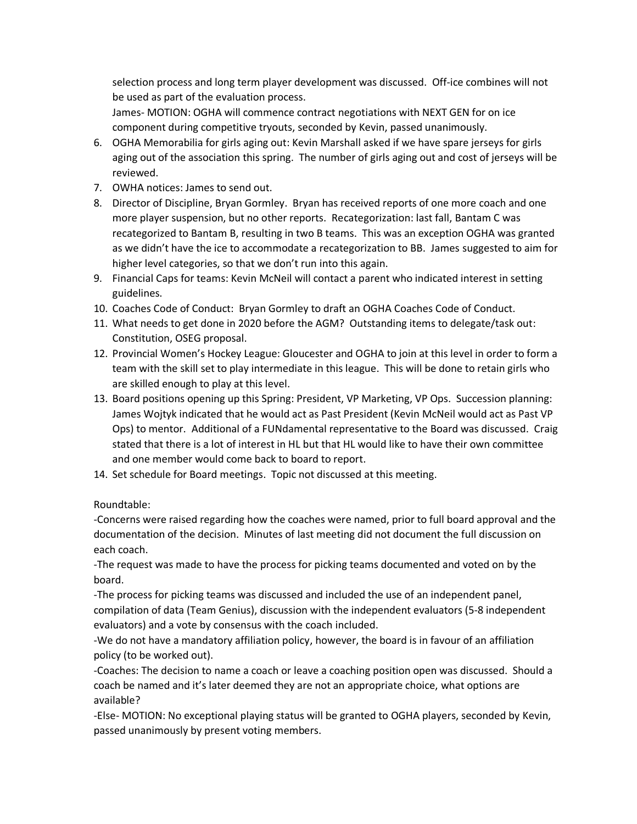selection process and long term player development was discussed. Off-ice combines will not be used as part of the evaluation process.

James- MOTION: OGHA will commence contract negotiations with NEXT GEN for on ice component during competitive tryouts, seconded by Kevin, passed unanimously.

- 6. OGHA Memorabilia for girls aging out: Kevin Marshall asked if we have spare jerseys for girls aging out of the association this spring. The number of girls aging out and cost of jerseys will be reviewed.
- 7. OWHA notices: James to send out.
- 8. Director of Discipline, Bryan Gormley. Bryan has received reports of one more coach and one more player suspension, but no other reports. Recategorization: last fall, Bantam C was recategorized to Bantam B, resulting in two B teams. This was an exception OGHA was granted as we didn't have the ice to accommodate a recategorization to BB. James suggested to aim for higher level categories, so that we don't run into this again.
- 9. Financial Caps for teams: Kevin McNeil will contact a parent who indicated interest in setting guidelines.
- 10. Coaches Code of Conduct: Bryan Gormley to draft an OGHA Coaches Code of Conduct.
- 11. What needs to get done in 2020 before the AGM? Outstanding items to delegate/task out: Constitution, OSEG proposal.
- 12. Provincial Women's Hockey League: Gloucester and OGHA to join at this level in order to form a team with the skill set to play intermediate in this league. This will be done to retain girls who are skilled enough to play at this level.
- 13. Board positions opening up this Spring: President, VP Marketing, VP Ops. Succession planning: James Wojtyk indicated that he would act as Past President (Kevin McNeil would act as Past VP Ops) to mentor. Additional of a FUNdamental representative to the Board was discussed. Craig stated that there is a lot of interest in HL but that HL would like to have their own committee and one member would come back to board to report.
- 14. Set schedule for Board meetings. Topic not discussed at this meeting.

Roundtable:

-Concerns were raised regarding how the coaches were named, prior to full board approval and the documentation of the decision. Minutes of last meeting did not document the full discussion on each coach.

-The request was made to have the process for picking teams documented and voted on by the board.

-The process for picking teams was discussed and included the use of an independent panel, compilation of data (Team Genius), discussion with the independent evaluators (5-8 independent evaluators) and a vote by consensus with the coach included.

-We do not have a mandatory affiliation policy, however, the board is in favour of an affiliation policy (to be worked out).

-Coaches: The decision to name a coach or leave a coaching position open was discussed. Should a coach be named and it's later deemed they are not an appropriate choice, what options are available?

-Else- MOTION: No exceptional playing status will be granted to OGHA players, seconded by Kevin, passed unanimously by present voting members.